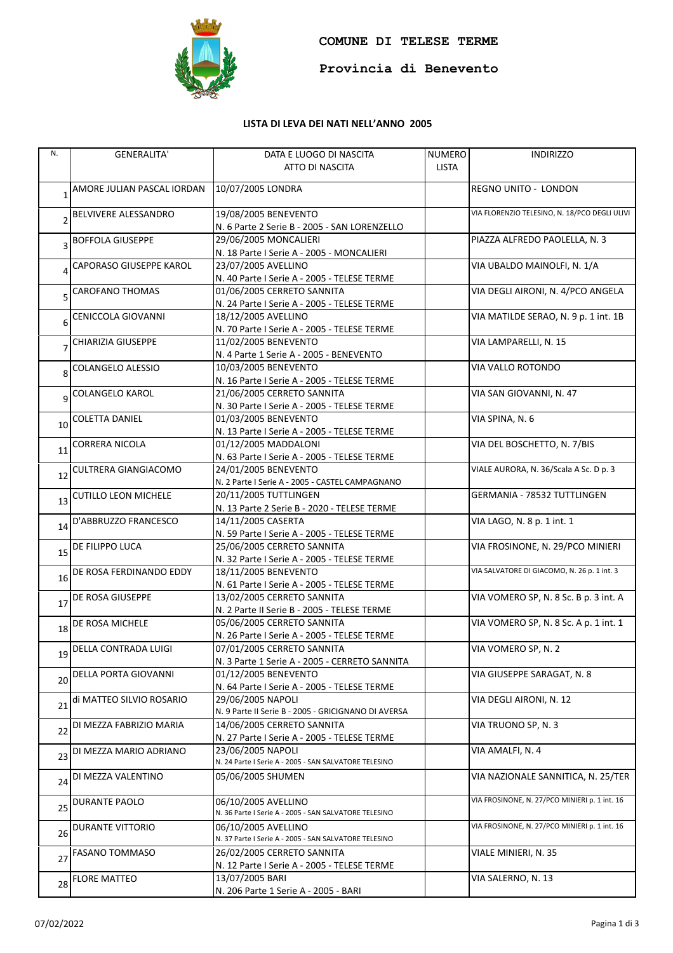

**Provincia di Benevento**

## **LISTA DI LEVA DEI NATI NELL'ANNO 2005**

| N.              | <b>GENERALITA'</b>          | DATA E LUOGO DI NASCITA                                                   | <b>NUMERO</b> | <b>INDIRIZZO</b>                              |
|-----------------|-----------------------------|---------------------------------------------------------------------------|---------------|-----------------------------------------------|
|                 |                             | ATTO DI NASCITA                                                           | <b>LISTA</b>  |                                               |
|                 |                             |                                                                           |               |                                               |
|                 | AMORE JULIAN PASCAL IORDAN  | 10/07/2005 LONDRA                                                         |               | REGNO UNITO - LONDON                          |
|                 |                             |                                                                           |               |                                               |
|                 | BELVIVERE ALESSANDRO        | 19/08/2005 BENEVENTO                                                      |               | VIA FLORENZIO TELESINO, N. 18/PCO DEGLI ULIVI |
|                 |                             | N. 6 Parte 2 Serie B - 2005 - SAN LORENZELLO                              |               |                                               |
|                 | <b>BOFFOLA GIUSEPPE</b>     | 29/06/2005 MONCALIERI                                                     |               | PIAZZA ALFREDO PAOLELLA, N. 3                 |
| 3               |                             | N. 18 Parte I Serie A - 2005 - MONCALIERI                                 |               |                                               |
|                 | CAPORASO GIUSEPPE KAROL     | 23/07/2005 AVELLINO                                                       |               | VIA UBALDO MAINOLFI, N. 1/A                   |
|                 |                             | N. 40 Parte I Serie A - 2005 - TELESE TERME                               |               |                                               |
|                 | CAROFANO THOMAS             | 01/06/2005 CERRETO SANNITA                                                |               | VIA DEGLI AIRONI, N. 4/PCO ANGELA             |
| 5               |                             | N. 24 Parte I Serie A - 2005 - TELESE TERME                               |               |                                               |
|                 |                             | 18/12/2005 AVELLINO                                                       |               | VIA MATILDE SERAO, N. 9 p. 1 int. 1B          |
| 6               | CENICCOLA GIOVANNI          |                                                                           |               |                                               |
|                 |                             | N. 70 Parte I Serie A - 2005 - TELESE TERME                               |               |                                               |
|                 | CHIARIZIA GIUSEPPE          | 11/02/2005 BENEVENTO                                                      |               | VIA LAMPARELLI, N. 15                         |
|                 |                             | N. 4 Parte 1 Serie A - 2005 - BENEVENTO                                   |               |                                               |
| 8               | <b>COLANGELO ALESSIO</b>    | 10/03/2005 BENEVENTO                                                      |               | VIA VALLO ROTONDO                             |
|                 |                             | N. 16 Parte I Serie A - 2005 - TELESE TERME                               |               |                                               |
| 9               | COLANGELO KAROL             | 21/06/2005 CERRETO SANNITA                                                |               | VIA SAN GIOVANNI, N. 47                       |
|                 |                             | N. 30 Parte I Serie A - 2005 - TELESE TERME                               |               |                                               |
| 10              | <b>COLETTA DANIEL</b>       | 01/03/2005 BENEVENTO                                                      |               | VIA SPINA, N. 6                               |
|                 |                             | N. 13 Parte I Serie A - 2005 - TELESE TERME                               |               |                                               |
|                 | CORRERA NICOLA              | 01/12/2005 MADDALONI                                                      |               | VIA DEL BOSCHETTO, N. 7/BIS                   |
| 11              |                             | N. 63 Parte I Serie A - 2005 - TELESE TERME                               |               |                                               |
|                 | CULTRERA GIANGIACOMO        | 24/01/2005 BENEVENTO                                                      |               | VIALE AURORA, N. 36/Scala A Sc. D p. 3        |
| 12              |                             | N. 2 Parte I Serie A - 2005 - CASTEL CAMPAGNANO                           |               |                                               |
|                 | <b>CUTILLO LEON MICHELE</b> | 20/11/2005 TUTTLINGEN                                                     |               | GERMANIA - 78532 TUTTLINGEN                   |
| 13              |                             | N. 13 Parte 2 Serie B - 2020 - TELESE TERME                               |               |                                               |
|                 | D'ABBRUZZO FRANCESCO        | 14/11/2005 CASERTA                                                        |               | VIA LAGO, N. 8 p. 1 int. 1                    |
| 14              |                             | N. 59 Parte I Serie A - 2005 - TELESE TERME                               |               |                                               |
|                 | DE FILIPPO LUCA             | 25/06/2005 CERRETO SANNITA                                                |               | VIA FROSINONE, N. 29/PCO MINIERI              |
| 15 <sub>l</sub> |                             | N. 32 Parte I Serie A - 2005 - TELESE TERME                               |               |                                               |
|                 | DE ROSA FERDINANDO EDDY     | 18/11/2005 BENEVENTO                                                      |               | VIA SALVATORE DI GIACOMO, N. 26 p. 1 int. 3   |
| 16              |                             | N. 61 Parte I Serie A - 2005 - TELESE TERME                               |               |                                               |
|                 | DE ROSA GIUSEPPE            | 13/02/2005 CERRETO SANNITA                                                |               | VIA VOMERO SP, N. 8 Sc. B p. 3 int. A         |
| 17              |                             |                                                                           |               |                                               |
|                 |                             | N. 2 Parte II Serie B - 2005 - TELESE TERME<br>05/06/2005 CERRETO SANNITA |               | VIA VOMERO SP, N. 8 Sc. A p. 1 int. 1         |
| 18              | DE ROSA MICHELE             |                                                                           |               |                                               |
|                 |                             | N. 26 Parte I Serie A - 2005 - TELESE TERME                               |               |                                               |
| 19              | DELLA CONTRADA LUIGI        | 07/01/2005 CERRETO SANNITA                                                |               | VIA VOMERO SP, N. 2                           |
|                 |                             | N. 3 Parte 1 Serie A - 2005 - CERRETO SANNITA                             |               |                                               |
| 20              | DELLA PORTA GIOVANNI        | 01/12/2005 BENEVENTO                                                      |               | VIA GIUSEPPE SARAGAT, N. 8                    |
|                 |                             | N. 64 Parte I Serie A - 2005 - TELESE TERME                               |               |                                               |
| 21              | di MATTEO SILVIO ROSARIO    | 29/06/2005 NAPOLI                                                         |               | VIA DEGLI AIRONI, N. 12                       |
|                 |                             | N. 9 Parte II Serie B - 2005 - GRICIGNANO DI AVERSA                       |               |                                               |
| 22              | DI MEZZA FABRIZIO MARIA     | 14/06/2005 CERRETO SANNITA                                                |               | VIA TRUONO SP, N. 3                           |
|                 |                             | N. 27 Parte I Serie A - 2005 - TELESE TERME                               |               |                                               |
| 23              | DI MEZZA MARIO ADRIANO      | 23/06/2005 NAPOLI                                                         |               | VIA AMALFI, N. 4                              |
|                 |                             | N. 24 Parte I Serie A - 2005 - SAN SALVATORE TELESINO                     |               |                                               |
|                 | DI MEZZA VALENTINO          | 05/06/2005 SHUMEN                                                         |               | VIA NAZIONALE SANNITICA, N. 25/TER            |
| 24              |                             |                                                                           |               |                                               |
|                 | DURANTE PAOLO               | 06/10/2005 AVELLINO                                                       |               | VIA FROSINONE, N. 27/PCO MINIERI p. 1 int. 16 |
| 25              |                             | N. 36 Parte I Serie A - 2005 - SAN SALVATORE TELESINO                     |               |                                               |
|                 | DURANTE VITTORIO            | 06/10/2005 AVELLINO                                                       |               | VIA FROSINONE, N. 27/PCO MINIERI p. 1 int. 16 |
| 26              |                             | N. 37 Parte I Serie A - 2005 - SAN SALVATORE TELESINO                     |               |                                               |
|                 | <b>FASANO TOMMASO</b>       | 26/02/2005 CERRETO SANNITA                                                |               | VIALE MINIERI, N. 35                          |
| 27              |                             | N. 12 Parte I Serie A - 2005 - TELESE TERME                               |               |                                               |
|                 | <b>FLORE MATTEO</b>         |                                                                           |               |                                               |
| 28              |                             | 13/07/2005 BARI                                                           |               | VIA SALERNO, N. 13                            |
|                 |                             | N. 206 Parte 1 Serie A - 2005 - BARI                                      |               |                                               |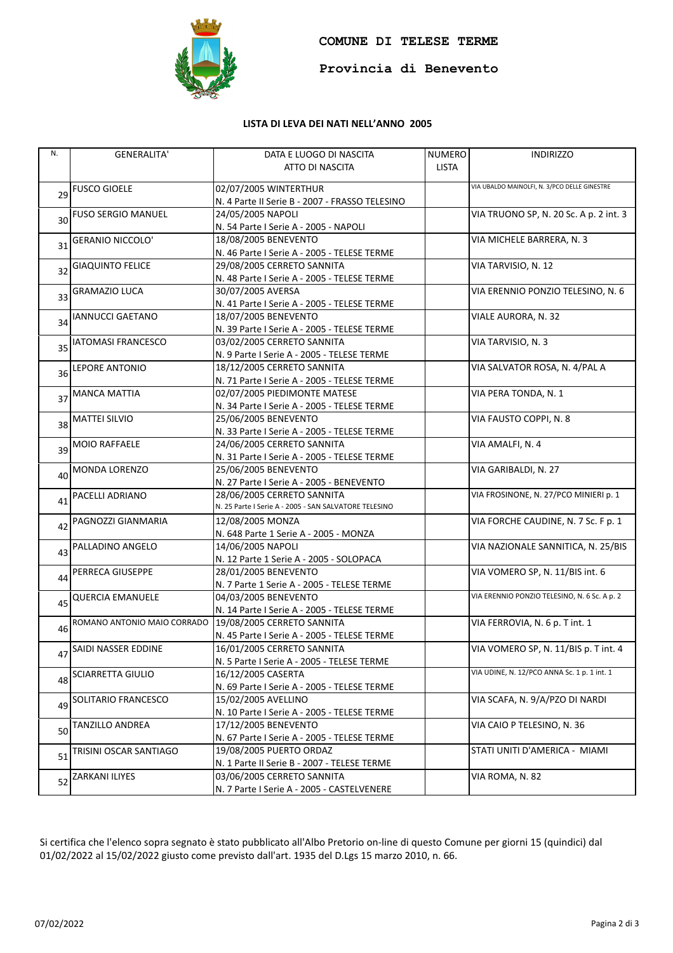

**Provincia di Benevento**

## **LISTA DI LEVA DEI NATI NELL'ANNO 2005**

| N. | <b>GENERALITA'</b>          | DATA E LUOGO DI NASCITA                               | <b>NUMERO</b> | <b>INDIRIZZO</b>                             |
|----|-----------------------------|-------------------------------------------------------|---------------|----------------------------------------------|
|    |                             | ATTO DI NASCITA                                       | <b>LISTA</b>  |                                              |
|    |                             |                                                       |               |                                              |
| 29 | <b>FUSCO GIOELE</b>         | 02/07/2005 WINTERTHUR                                 |               | VIA UBALDO MAINOLFI, N. 3/PCO DELLE GINESTRE |
|    |                             | N. 4 Parte II Serie B - 2007 - FRASSO TELESINO        |               |                                              |
| 30 | <b>FUSO SERGIO MANUEL</b>   | 24/05/2005 NAPOLI                                     |               | VIA TRUONO SP, N. 20 Sc. A p. 2 int. 3       |
|    |                             | N. 54 Parte I Serie A - 2005 - NAPOLI                 |               |                                              |
| 31 | <b>GERANIO NICCOLO'</b>     | 18/08/2005 BENEVENTO                                  |               | VIA MICHELE BARRERA, N. 3                    |
|    |                             | N. 46 Parte I Serie A - 2005 - TELESE TERME           |               |                                              |
| 32 | <b>GIAQUINTO FELICE</b>     | 29/08/2005 CERRETO SANNITA                            |               | VIA TARVISIO, N. 12                          |
|    |                             | N. 48 Parte I Serie A - 2005 - TELESE TERME           |               |                                              |
| 33 | <b>GRAMAZIO LUCA</b>        | 30/07/2005 AVERSA                                     |               | VIA ERENNIO PONZIO TELESINO, N. 6            |
|    |                             | N. 41 Parte I Serie A - 2005 - TELESE TERME           |               |                                              |
| 34 | <b>IANNUCCI GAETANO</b>     | 18/07/2005 BENEVENTO                                  |               | VIALE AURORA, N. 32                          |
|    |                             | N. 39 Parte I Serie A - 2005 - TELESE TERME           |               |                                              |
|    | <b>IATOMASI FRANCESCO</b>   | 03/02/2005 CERRETO SANNITA                            |               | VIA TARVISIO, N. 3                           |
| 35 |                             | N. 9 Parte I Serie A - 2005 - TELESE TERME            |               |                                              |
|    | LEPORE ANTONIO              | 18/12/2005 CERRETO SANNITA                            |               | VIA SALVATOR ROSA, N. 4/PAL A                |
| 36 |                             | N. 71 Parte I Serie A - 2005 - TELESE TERME           |               |                                              |
|    | <b>MANCA MATTIA</b>         | 02/07/2005 PIEDIMONTE MATESE                          |               | VIA PERA TONDA, N. 1                         |
| 37 |                             | N. 34 Parte I Serie A - 2005 - TELESE TERME           |               |                                              |
|    | <b>MATTEI SILVIO</b>        | 25/06/2005 BENEVENTO                                  |               | VIA FAUSTO COPPI, N. 8                       |
| 38 |                             | N. 33 Parte I Serie A - 2005 - TELESE TERME           |               |                                              |
|    | <b>MOIO RAFFAELE</b>        | 24/06/2005 CERRETO SANNITA                            |               | VIA AMALFI, N. 4                             |
| 39 |                             | N. 31 Parte I Serie A - 2005 - TELESE TERME           |               |                                              |
|    | MONDA LORENZO               | 25/06/2005 BENEVENTO                                  |               | VIA GARIBALDI, N. 27                         |
| 40 |                             | N. 27 Parte I Serie A - 2005 - BENEVENTO              |               |                                              |
|    | PACELLI ADRIANO             | 28/06/2005 CERRETO SANNITA                            |               | VIA FROSINONE, N. 27/PCO MINIERI p. 1        |
| 41 |                             | N. 25 Parte I Serie A - 2005 - SAN SALVATORE TELESINO |               |                                              |
|    | PAGNOZZI GIANMARIA          | 12/08/2005 MONZA                                      |               | VIA FORCHE CAUDINE, N. 7 Sc. F p. 1          |
| 42 |                             | N. 648 Parte 1 Serie A - 2005 - MONZA                 |               |                                              |
|    | PALLADINO ANGELO            | 14/06/2005 NAPOLI                                     |               | VIA NAZIONALE SANNITICA, N. 25/BIS           |
| 43 |                             | N. 12 Parte 1 Serie A - 2005 - SOLOPACA               |               |                                              |
|    | PERRECA GIUSEPPE            | 28/01/2005 BENEVENTO                                  |               | VIA VOMERO SP, N. 11/BIS int. 6              |
| 44 |                             | N. 7 Parte 1 Serie A - 2005 - TELESE TERME            |               |                                              |
|    | <b>QUERCIA EMANUELE</b>     | 04/03/2005 BENEVENTO                                  |               | VIA ERENNIO PONZIO TELESINO, N. 6 Sc. A p. 2 |
| 45 |                             | N. 14 Parte I Serie A - 2005 - TELESE TERME           |               |                                              |
|    | ROMANO ANTONIO MAIO CORRADO | 19/08/2005 CERRETO SANNITA                            |               | VIA FERROVIA, N. 6 p. T int. 1               |
| 46 |                             | N. 45 Parte I Serie A - 2005 - TELESE TERME           |               |                                              |
|    | SAIDI NASSER EDDINE         | 16/01/2005 CERRETO SANNITA                            |               | VIA VOMERO SP, N. 11/BIS p. T int. 4         |
| 47 |                             | N. 5 Parte I Serie A - 2005 - TELESE TERME            |               |                                              |
|    | <b>SCIARRETTA GIULIO</b>    | 16/12/2005 CASERTA                                    |               | VIA UDINE, N. 12/PCO ANNA Sc. 1 p. 1 int. 1  |
| 48 |                             | N. 69 Parte I Serie A - 2005 - TELESE TERME           |               |                                              |
|    |                             | 15/02/2005 AVELLINO                                   |               | VIA SCAFA, N. 9/A/PZO DI NARDI               |
| 49 | SOLITARIO FRANCESCO         | N. 10 Parte I Serie A - 2005 - TELESE TERME           |               |                                              |
|    |                             |                                                       |               |                                              |
| 50 | TANZILLO ANDREA             | 17/12/2005 BENEVENTO                                  |               | VIA CAIO P TELESINO, N. 36                   |
|    |                             | N. 67 Parte I Serie A - 2005 - TELESE TERME           |               |                                              |
| 51 | TRISINI OSCAR SANTIAGO      | 19/08/2005 PUERTO ORDAZ                               |               | STATI UNITI D'AMERICA - MIAMI                |
|    |                             | N. 1 Parte II Serie B - 2007 - TELESE TERME           |               |                                              |
| 52 | <b>ZARKANI ILIYES</b>       | 03/06/2005 CERRETO SANNITA                            |               | VIA ROMA, N. 82                              |
|    |                             | N. 7 Parte I Serie A - 2005 - CASTELVENERE            |               |                                              |

Si certifica che l'elenco sopra segnato è stato pubblicato all'Albo Pretorio on-line di questo Comune per giorni 15 (quindici) dal 01/02/2022 al 15/02/2022 giusto come previsto dall'art. 1935 del D.Lgs 15 marzo 2010, n. 66.